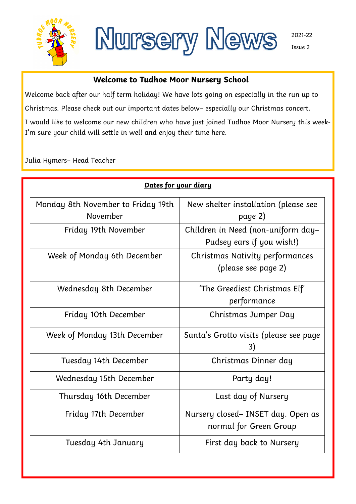



Welcome back after our half term holiday! We have lots going on especially in the run up to

**Welcome to Tudhoe Moor Nursery School**

Christmas. Please check out our important dates below– especially our Christmas concert.

I would like to welcome our new children who have just joined Tudhoe Moor Nursery this week-I'm sure your child will settle in well and enjoy their time here.

Julia Hymers– Head Teacher

| Dates for your diary                           |                                                                 |  |  |
|------------------------------------------------|-----------------------------------------------------------------|--|--|
| Monday 8th November to Friday 19th<br>November | New shelter installation (please see<br>page 2)                 |  |  |
| Friday 19th November                           | Children in Need (non-uniform day-<br>Pudsey ears if you wish!) |  |  |
| Week of Monday 6th December                    | <b>Christmas Nativity performances</b><br>(please see page 2)   |  |  |
| Wednesday 8th December                         | 'The Greediest Christmas Elf'<br>performance                    |  |  |
| Friday 10th December                           | Christmas Jumper Day                                            |  |  |
| Week of Monday 13th December                   | Santa's Grotto visits (please see page<br>3)                    |  |  |
| Tuesday 14th December                          | Christmas Dinner day                                            |  |  |
| Wednesday 15th December                        | Party day!                                                      |  |  |
| Thursday 16th December                         | Last day of Nursery                                             |  |  |
| Friday 17th December                           | Nursery closed- INSET day. Open as<br>normal for Green Group    |  |  |
| Tuesday 4th January                            | First day back to Nursery                                       |  |  |

2021-22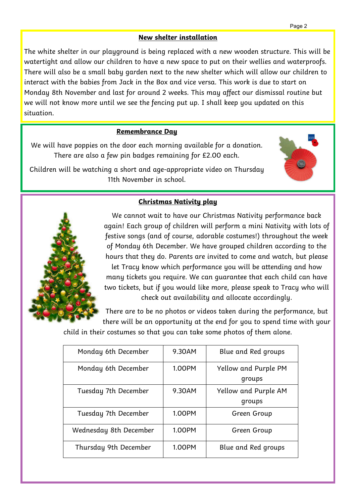#### **New shelter installation**

The white shelter in our playground is being replaced with a new wooden structure. This will be watertight and allow our children to have a new space to put on their wellies and waterproofs. There will also be a small baby garden next to the new shelter which will allow our children to interact with the babies from Jack in the Box and vice versa. This work is due to start on Monday 8th November and last for around 2 weeks. This may affect our dismissal routine but we will not know more until we see the fencing put up. I shall keep you updated on this situation.

#### **Remembrance Day**

We will have poppies on the door each morning available for a donation. There are also a few pin badges remaining for £2.00 each.

Children will be watching a short and age-appropriate video on Thursday 11th November in school.



# **Christmas Nativity play**



We cannot wait to have our Christmas Nativity performance back again! Each group of children will perform a mini Nativity with lots of festive songs (and of course, adorable costumes!) throughout the week of Monday 6th December. We have grouped children according to the hours that they do. Parents are invited to come and watch, but please let Tracy know which performance you will be attending and how many tickets you require. We can guarantee that each child can have two tickets, but if you would like more, please speak to Tracy who will check out availability and allocate accordingly.

There are to be no photos or videos taken during the performance, but there will be an opportunity at the end for you to spend time with your

child in their costumes so that you can take some photos of them alone.

| Monday 6th December    | 9.30AM | Blue and Red groups                   |
|------------------------|--------|---------------------------------------|
| Monday 6th December    | 1.00PM | Yellow and Purple PM<br>groups        |
| Tuesday 7th December   | 9.30AM | <b>Yellow and Purple AM</b><br>groups |
| Tuesday 7th December   | 1.00PM | Green Group                           |
| Wednesday 8th December | 1.00PM | Green Group                           |
| Thursday 9th December  | 1.00PM | Blue and Red groups                   |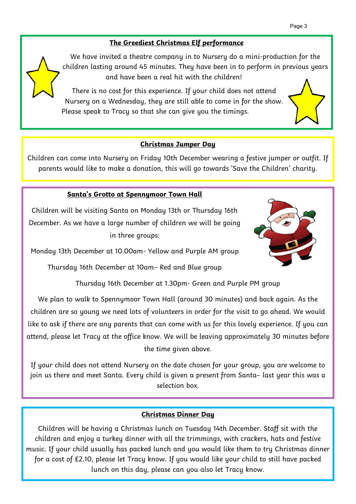# **The Greediest Christmas Elf performance**

We have invited a theatre company in to Nursery do a mini-production for the children lasting around 45 minutes. They have been in to perform in previous years and have been a real hit with the children!

There is no cost for this experience. If your child does not attend Nursery on a Wednesday, they are still able to come in for the show. Please speak to Tracy so that she can give you the timings.

#### **Christmas Jumper Day**

Children can come into Nursery on Friday 10th December wearing a festive jumper or outfit. If parents would like to make a donation, this will go towards 'Save the Children' charity.

#### **Santa's Grotto at Spennymoor Town Hall**

Children will be visiting Santa on Monday 13th or Thursday 16th December. As we have a large number of children we will be going in three groups:



Monday 13th December at 10.00am- Yellow and Purple AM group

Thursday 16th December at 10am– Red and Blue group

Thursday 16th December at 1.30pm- Green and Purple PM group

We plan to walk to Spennymoor Town Hall (around 30 minutes) and back again. As the children are so young we need lots of volunteers in order for the visit to go ahead. We would like to ask if there are any parents that can come with us for this lovely experience. If you can attend, please let Tracy at the office know. We will be leaving approximately 30 minutes before the time given above.

If your child does not attend Nursery on the date chosen for your group, you are welcome to join us there and meet Santa. Every child is given a present from Santa– last year this was a selection box.

# **Christmas Dinner Day**

Children will be having a Christmas lunch on Tuesday 14th December. Staff sit with the children and enjoy a turkey dinner with all the trimmings, with crackers, hats and festive music. If your child usually has packed lunch and you would like them to try Christmas dinner for a cost of £2.10, please let Tracy know. If you would like your child to still have packed lunch on this day, please can you also let Tracy know.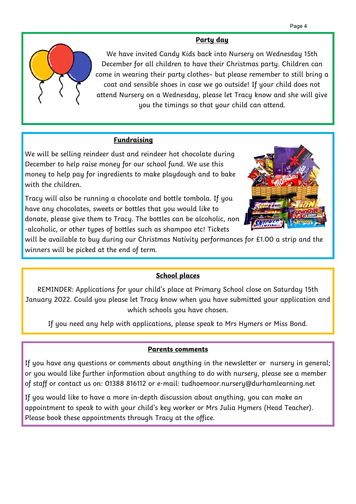#### **Party day**

We have invited Candy Kids back into Nursery on Wednesday 15th December for all children to have their Christmas party. Children can come in wearing their party clothes– but please remember to still bring a coat and sensible shoes in case we go outside! If your child does not attend Nursery on a Wednesday, please let Tracy know and she will give you the timings so that your child can attend.

#### **Fundraising**

We will be selling reindeer dust and reindeer hot chocolate during December to help raise money for our school fund. We use this money to help pay for ingredients to make playdough and to bake with the children.

Tracy will also be running a chocolate and bottle tombola. If you have any chocolates, sweets or bottles that you would like to donate, please give them to Tracy. The bottles can be alcoholic, non -alcoholic, or other types of bottles such as shampoo etc! Tickets



will be available to buy during our Christmas Nativity performances for £1.00 a strip and the winners will be picked at the end of term.

# **School places**

REMINDER: Applications for your child's place at Primary School close on Saturday 15th January 2022. Could you please let Tracy know when you have submitted your application and which schools you have chosen.

If you need any help with applications, please speak to Mrs Hymers or Miss Bond.

#### **Parents comments**

If you have any questions or comments about anything in the newsletter or nursery in general; or you would like further information about anything to do with nursery, please see a member of staff or contact us on: 01388 816112 or e-mail: tudhoemoor.nursery@durhamlearning.net

If you would like to have a more in-depth discussion about anything, you can make an appointment to speak to with your child's key worker or Mrs Julia Hymers (Head Teacher). Please book these appointments through Tracy at the office.